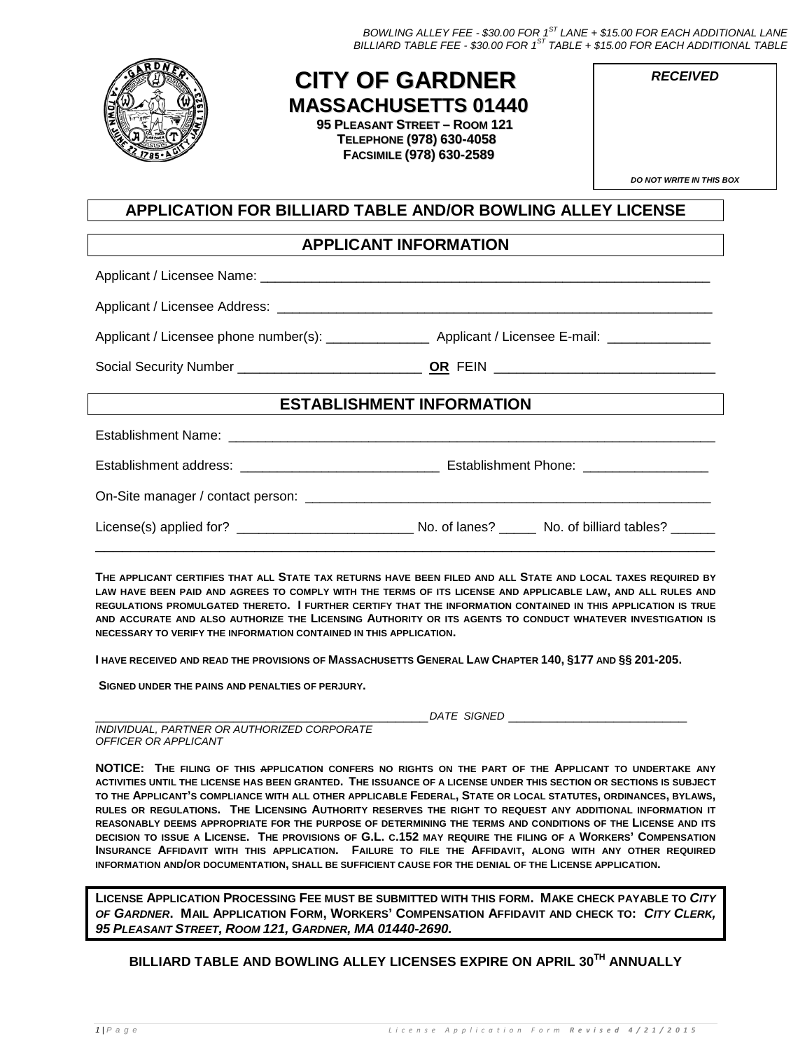*BOWLING ALLEY FEE - \$30.00 FOR 1ST LANE + \$15.00 FOR EACH ADDITIONAL LANE BILLIARD TABLE FEE - \$30.00 FOR 1ST TABLE + \$15.00 FOR EACH ADDITIONAL TABLE*



## **CITY OF GARDNER MASSACHUSETTS 01440**

**95 PLEASANT STREET – ROOM 121 TELEPHONE (978) 630-4058 FACSIMILE (978) 630-2589**

| <b>DO NOT WRITE IN THIS BOX</b> |  |  |
|---------------------------------|--|--|
|                                 |  |  |

*RECEIVED*

## **APPLICATION FOR BILLIARD TABLE AND/OR BOWLING ALLEY LICENSE**

## **APPLICANT INFORMATION**

Applicant / Licensee Name:

Applicant / Licensee Address: \_\_\_\_\_\_\_\_\_\_\_\_\_\_\_\_\_\_\_\_\_\_\_\_\_\_\_\_\_\_\_\_\_\_\_\_\_\_\_\_\_\_\_\_\_\_\_\_\_\_\_\_\_\_\_\_\_\_\_

Applicant / Licensee phone number(s): \_\_\_\_\_\_\_\_\_\_\_\_\_\_\_\_\_\_\_\_\_\_ Applicant / Licensee E-mail: \_\_\_\_\_

Social Security Number \_\_\_\_\_\_\_\_\_\_\_\_\_\_\_\_\_\_\_\_\_\_\_\_\_ **OR** FEIN \_\_\_\_\_\_\_\_\_\_\_\_\_\_\_\_\_\_\_\_\_\_\_\_\_\_\_\_\_\_

## **ESTABLISHMENT INFORMATION**

Establishment Name: \_\_\_\_\_\_\_\_\_\_\_\_\_\_\_\_\_\_\_\_\_\_\_\_\_\_\_\_\_\_\_\_\_\_\_\_\_\_\_\_\_\_\_\_\_\_\_\_\_\_\_\_\_\_\_\_\_\_\_\_\_\_\_\_\_\_

Establishment address: \_\_\_\_\_\_\_\_\_\_\_\_\_\_\_\_\_\_\_\_\_\_\_\_\_\_\_ Establishment Phone: \_\_\_\_\_\_\_\_\_\_\_\_\_\_\_\_\_

On-Site manager / contact person: \_\_\_\_\_\_\_\_\_\_\_\_\_\_\_\_\_\_\_\_\_\_\_\_\_\_\_\_\_\_\_\_\_\_\_\_\_\_\_\_\_\_\_\_\_\_\_\_\_\_\_\_\_\_\_

License(s) applied for? <br>
No. of lanes? No. of billiard tables?

**THE APPLICANT CERTIFIES THAT ALL STATE TAX RETURNS HAVE BEEN FILED AND ALL STATE AND LOCAL TAXES REQUIRED BY LAW HAVE BEEN PAID AND AGREES TO COMPLY WITH THE TERMS OF ITS LICENSE AND APPLICABLE LAW, AND ALL RULES AND REGULATIONS PROMULGATED THERETO. I FURTHER CERTIFY THAT THE INFORMATION CONTAINED IN THIS APPLICATION IS TRUE AND ACCURATE AND ALSO AUTHORIZE THE LICENSING AUTHORITY OR ITS AGENTS TO CONDUCT WHATEVER INVESTIGATION IS NECESSARY TO VERIFY THE INFORMATION CONTAINED IN THIS APPLICATION.**

\_\_\_\_\_\_\_\_\_\_\_\_\_\_\_\_\_\_\_\_\_\_\_\_\_\_\_\_\_\_\_\_\_\_\_\_\_\_\_\_\_\_\_\_\_\_\_\_\_\_\_\_\_\_\_\_\_\_\_\_\_\_\_\_\_\_\_\_\_\_

**I HAVE RECEIVED AND READ THE PROVISIONS OF MASSACHUSETTS GENERAL LAW CHAPTER 140, §177 AND §§ 201-205.**

**SIGNED UNDER THE PAINS AND PENALTIES OF PERJURY.**

\_\_\_\_\_\_\_\_\_\_\_\_\_\_\_\_\_\_\_\_\_\_\_\_\_\_\_\_\_\_\_\_\_\_\_\_\_\_\_\_\_*DATE SIGNED* \_\_\_\_\_\_\_\_\_\_\_\_\_\_\_\_\_\_\_\_\_\_

*INDIVIDUAL, PARTNER OR AUTHORIZED CORPORATE OFFICER OR APPLICANT*

**NOTICE: THE FILING OF THIS APPLICATION CONFERS NO RIGHTS ON THE PART OF THE APPLICANT TO UNDERTAKE ANY ACTIVITIES UNTIL THE LICENSE HAS BEEN GRANTED. THE ISSUANCE OF A LICENSE UNDER THIS SECTION OR SECTIONS IS SUBJECT TO THE APPLICANT'S COMPLIANCE WITH ALL OTHER APPLICABLE FEDERAL, STATE OR LOCAL STATUTES, ORDINANCES, BYLAWS, RULES OR REGULATIONS. THE LICENSING AUTHORITY RESERVES THE RIGHT TO REQUEST ANY ADDITIONAL INFORMATION IT REASONABLY DEEMS APPROPRIATE FOR THE PURPOSE OF DETERMINING THE TERMS AND CONDITIONS OF THE LICENSE AND ITS DECISION TO ISSUE A LICENSE. THE PROVISIONS OF G.L. C.152 MAY REQUIRE THE FILING OF A WORKERS' COMPENSATION INSURANCE AFFIDAVIT WITH THIS APPLICATION. FAILURE TO FILE THE AFFIDAVIT, ALONG WITH ANY OTHER REQUIRED INFORMATION AND/OR DOCUMENTATION, SHALL BE SUFFICIENT CAUSE FOR THE DENIAL OF THE LICENSE APPLICATION.**

**LICENSE APPLICATION PROCESSING FEE MUST BE SUBMITTED WITH THIS FORM. MAKE CHECK PAYABLE TO** *CITY OF GARDNER***. MAIL APPLICATION FORM, WORKERS' COMPENSATION AFFIDAVIT AND CHECK TO:** *CITY CLERK, 95 PLEASANT STREET, ROOM 121, GARDNER, MA 01440-2690.*

**BILLIARD TABLE AND BOWLING ALLEY LICENSES EXPIRE ON APRIL 30TH ANNUALLY**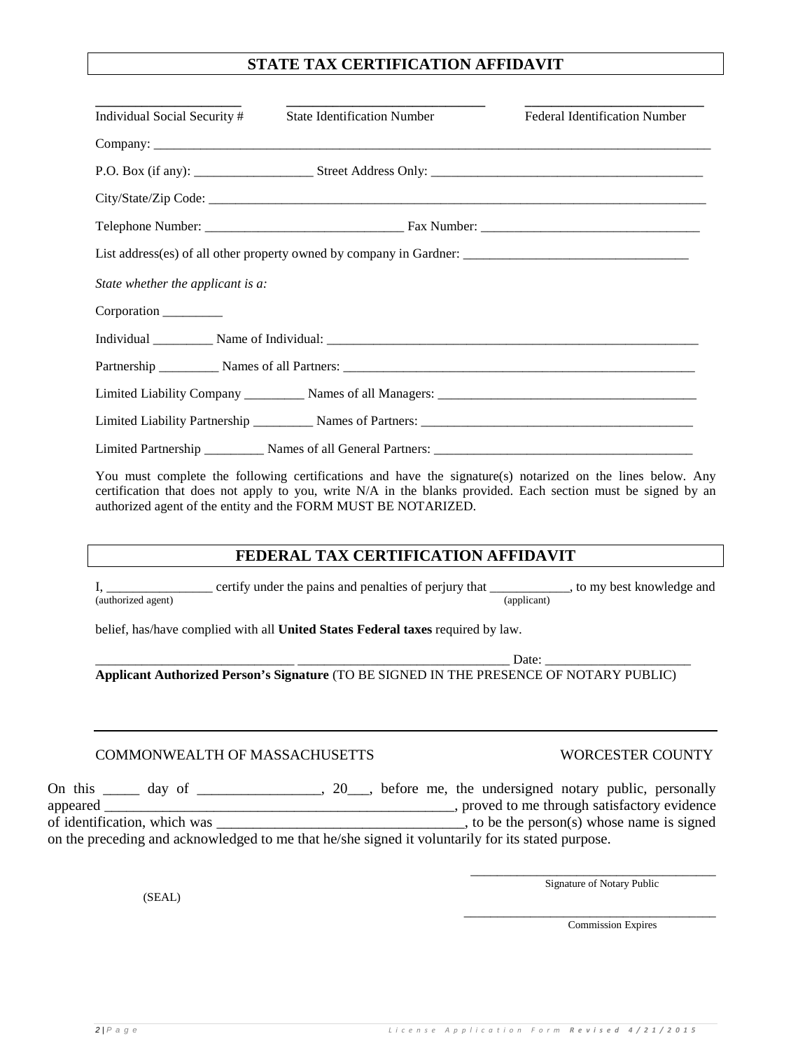## **STATE TAX CERTIFICATION AFFIDAVIT**

| Individual Social Security #      | <b>State Identification Number</b>                                                                                                                                                                                                                                                            | <b>Federal Identification Number</b> |
|-----------------------------------|-----------------------------------------------------------------------------------------------------------------------------------------------------------------------------------------------------------------------------------------------------------------------------------------------|--------------------------------------|
|                                   |                                                                                                                                                                                                                                                                                               |                                      |
|                                   |                                                                                                                                                                                                                                                                                               |                                      |
|                                   |                                                                                                                                                                                                                                                                                               |                                      |
|                                   |                                                                                                                                                                                                                                                                                               |                                      |
|                                   |                                                                                                                                                                                                                                                                                               |                                      |
| State whether the applicant is a: |                                                                                                                                                                                                                                                                                               |                                      |
| Corporation                       |                                                                                                                                                                                                                                                                                               |                                      |
|                                   |                                                                                                                                                                                                                                                                                               |                                      |
|                                   |                                                                                                                                                                                                                                                                                               |                                      |
|                                   |                                                                                                                                                                                                                                                                                               |                                      |
|                                   |                                                                                                                                                                                                                                                                                               |                                      |
|                                   |                                                                                                                                                                                                                                                                                               |                                      |
|                                   | You must complete the following certifications and have the signature(s) notarized on the lines below. Any<br>certification that does not apply to you, write N/A in the blanks provided. Each section must be signed by an<br>authorized agent of the entity and the FORM MUST BE NOTARIZED. |                                      |
|                                   | FEDERAL TAX CERTIFICATION AFFIDAVIT                                                                                                                                                                                                                                                           |                                      |
| I.                                | certify under the pains and penalties of perfury that                                                                                                                                                                                                                                         | to my best knowledge and             |

I, \_\_\_\_\_\_\_\_\_\_\_\_\_\_\_\_ certify under the pains and penalties of perjury that \_\_\_\_\_\_\_\_\_\_\_, to my best knowledge and (authorized agent) (applicant)

belief, has/have complied with all **United States Federal taxes** required by law.

\_\_\_\_\_\_\_\_\_\_\_\_\_\_\_\_\_\_\_\_\_\_\_\_\_\_\_\_\_\_ \_\_\_\_\_\_\_\_\_\_\_\_\_\_\_\_\_\_\_\_\_\_\_\_\_\_\_\_\_\_\_\_ Date: \_\_\_\_\_\_\_\_\_\_\_\_\_\_\_\_\_\_\_\_\_\_ **Applicant Authorized Person's Signature** (TO BE SIGNED IN THE PRESENCE OF NOTARY PUBLIC)

## COMMONWEALTH OF MASSACHUSETTS WORCESTER COUNTY

## On this \_\_\_\_\_ day of \_\_\_\_\_\_\_\_\_\_\_\_, 20\_\_, before me, the undersigned notary public, personally appeared \_\_\_\_\_\_\_\_\_\_\_\_\_\_\_\_\_\_\_\_\_\_\_\_\_\_\_\_\_\_\_\_\_\_\_\_\_\_\_\_\_\_\_\_\_\_\_\_, proved to me through satisfactory evidence of identification, which was \_\_\_\_\_\_\_\_\_\_\_\_\_\_\_\_\_\_\_\_\_\_\_\_\_\_\_\_\_\_\_\_\_\_, to be the person(s) whose name is signed on the preceding and acknowledged to me that he/she signed it voluntarily for its stated purpose.

Signature of Notary Public

\_\_\_\_\_\_\_\_\_\_\_\_\_\_\_\_\_\_\_\_\_\_\_\_\_\_\_\_\_\_\_\_\_\_\_\_\_\_ Commission Expires

(SEAL)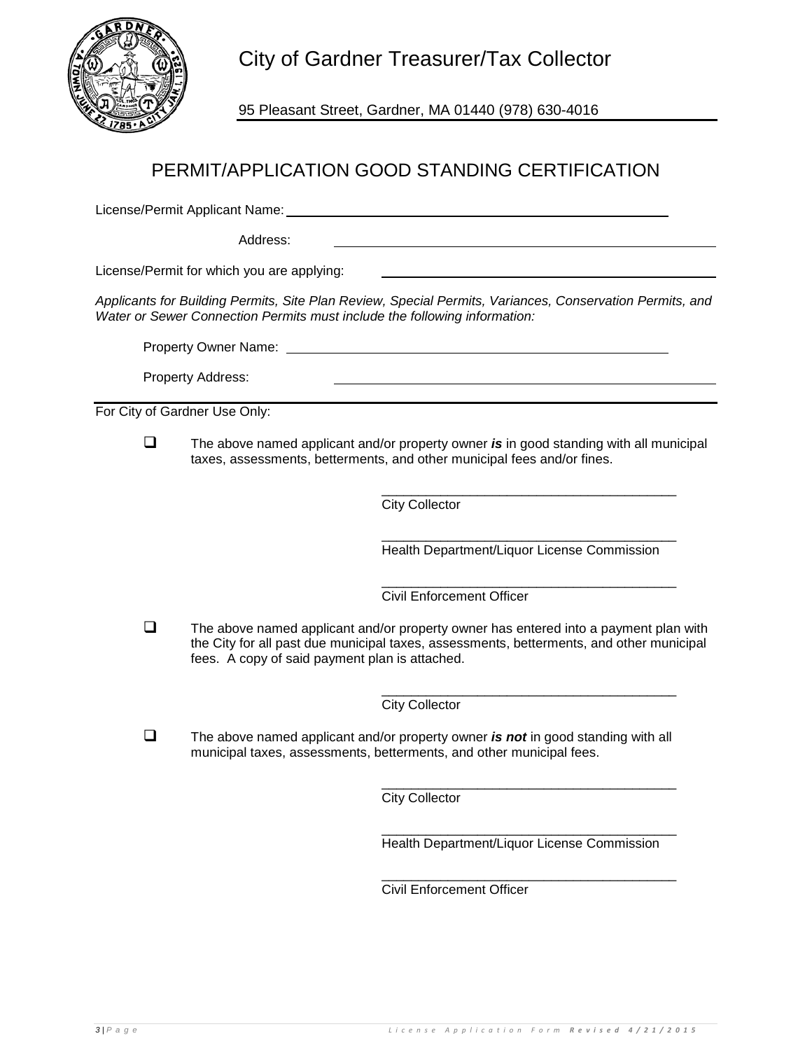

City of Gardner Treasurer/Tax Collector

95 Pleasant Street, Gardner, MA 01440 (978) 630-4016

## PERMIT/APPLICATION GOOD STANDING CERTIFICATION

License/Permit Applicant Name:

Address:

License/Permit for which you are applying:

*Applicants for Building Permits, Site Plan Review, Special Permits, Variances, Conservation Permits, and Water or Sewer Connection Permits must include the following information:*

Property Owner Name:

Property Address:

For City of Gardner Use Only:

 The above named applicant and/or property owner *is* in good standing with all municipal taxes, assessments, betterments, and other municipal fees and/or fines.

> \_\_\_\_\_\_\_\_\_\_\_\_\_\_\_\_\_\_\_\_\_\_\_\_\_\_\_\_\_\_\_\_\_\_\_\_\_\_\_\_ City Collector

> \_\_\_\_\_\_\_\_\_\_\_\_\_\_\_\_\_\_\_\_\_\_\_\_\_\_\_\_\_\_\_\_\_\_\_\_\_\_\_\_ Health Department/Liquor License Commission

> \_\_\_\_\_\_\_\_\_\_\_\_\_\_\_\_\_\_\_\_\_\_\_\_\_\_\_\_\_\_\_\_\_\_\_\_\_\_\_\_ Civil Enforcement Officer

 $\Box$  The above named applicant and/or property owner has entered into a payment plan with the City for all past due municipal taxes, assessments, betterments, and other municipal fees. A copy of said payment plan is attached.

> \_\_\_\_\_\_\_\_\_\_\_\_\_\_\_\_\_\_\_\_\_\_\_\_\_\_\_\_\_\_\_\_\_\_\_\_\_\_\_\_ City Collector

 The above named applicant and/or property owner *is not* in good standing with all municipal taxes, assessments, betterments, and other municipal fees.

> \_\_\_\_\_\_\_\_\_\_\_\_\_\_\_\_\_\_\_\_\_\_\_\_\_\_\_\_\_\_\_\_\_\_\_\_\_\_\_\_ City Collector

> \_\_\_\_\_\_\_\_\_\_\_\_\_\_\_\_\_\_\_\_\_\_\_\_\_\_\_\_\_\_\_\_\_\_\_\_\_\_\_\_ Health Department/Liquor License Commission

> \_\_\_\_\_\_\_\_\_\_\_\_\_\_\_\_\_\_\_\_\_\_\_\_\_\_\_\_\_\_\_\_\_\_\_\_\_\_\_\_ Civil Enforcement Officer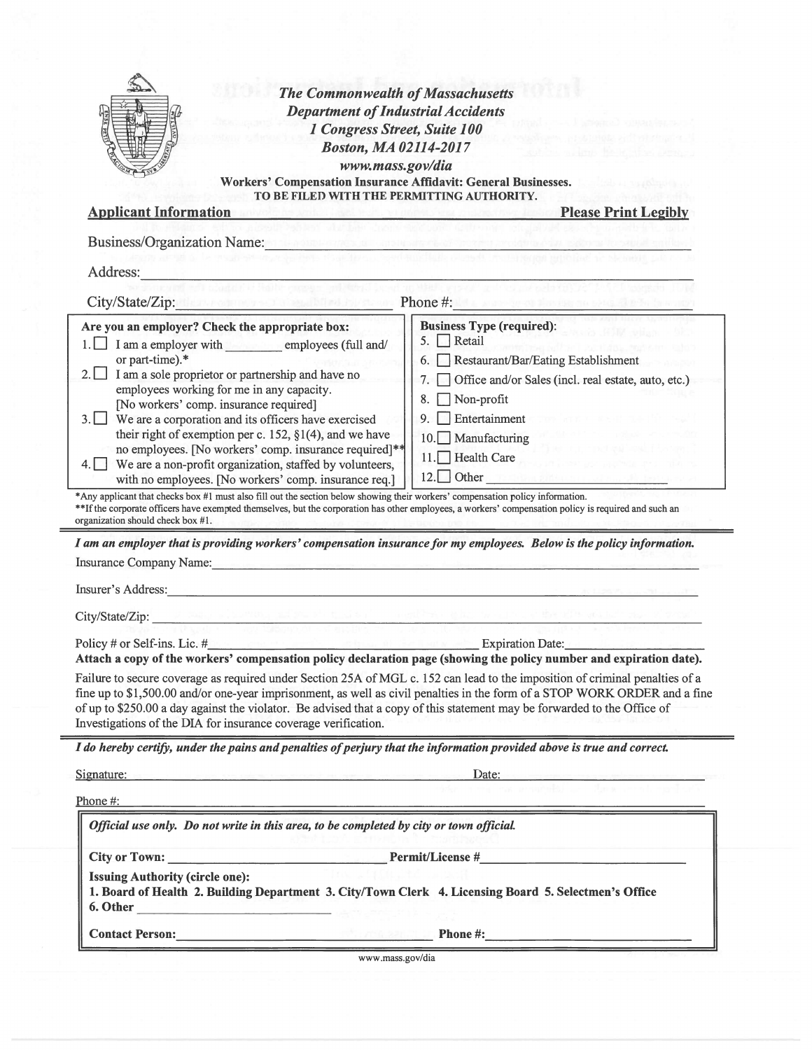|                                                                                                                                                                                                                                                                                                                                                                                                                                                                                                                                                                                                                                                                                                                                                                                                                                                                                                                                                                                                                                                                                                                                                                                                                                                                                                                                                                                                                                                                                                                                                                                                                                                                                                                                                                                                | <b>Department of Industrial Accidents</b><br>1 Congress Street, Suite 100                                                                  |
|------------------------------------------------------------------------------------------------------------------------------------------------------------------------------------------------------------------------------------------------------------------------------------------------------------------------------------------------------------------------------------------------------------------------------------------------------------------------------------------------------------------------------------------------------------------------------------------------------------------------------------------------------------------------------------------------------------------------------------------------------------------------------------------------------------------------------------------------------------------------------------------------------------------------------------------------------------------------------------------------------------------------------------------------------------------------------------------------------------------------------------------------------------------------------------------------------------------------------------------------------------------------------------------------------------------------------------------------------------------------------------------------------------------------------------------------------------------------------------------------------------------------------------------------------------------------------------------------------------------------------------------------------------------------------------------------------------------------------------------------------------------------------------------------|--------------------------------------------------------------------------------------------------------------------------------------------|
|                                                                                                                                                                                                                                                                                                                                                                                                                                                                                                                                                                                                                                                                                                                                                                                                                                                                                                                                                                                                                                                                                                                                                                                                                                                                                                                                                                                                                                                                                                                                                                                                                                                                                                                                                                                                | <b>Boston, MA 02114-2017</b>                                                                                                               |
|                                                                                                                                                                                                                                                                                                                                                                                                                                                                                                                                                                                                                                                                                                                                                                                                                                                                                                                                                                                                                                                                                                                                                                                                                                                                                                                                                                                                                                                                                                                                                                                                                                                                                                                                                                                                | www.mass.gov/dia                                                                                                                           |
|                                                                                                                                                                                                                                                                                                                                                                                                                                                                                                                                                                                                                                                                                                                                                                                                                                                                                                                                                                                                                                                                                                                                                                                                                                                                                                                                                                                                                                                                                                                                                                                                                                                                                                                                                                                                | Workers' Compensation Insurance Affidavit: General Businesses.                                                                             |
| <b>Applicant Information</b>                                                                                                                                                                                                                                                                                                                                                                                                                                                                                                                                                                                                                                                                                                                                                                                                                                                                                                                                                                                                                                                                                                                                                                                                                                                                                                                                                                                                                                                                                                                                                                                                                                                                                                                                                                   | TO BE FILED WITH THE PERMITTING AUTHORITY.<br><b>Please Print Legibly</b><br>At the anticol state horizontal displacement in state funding |
|                                                                                                                                                                                                                                                                                                                                                                                                                                                                                                                                                                                                                                                                                                                                                                                                                                                                                                                                                                                                                                                                                                                                                                                                                                                                                                                                                                                                                                                                                                                                                                                                                                                                                                                                                                                                |                                                                                                                                            |
| <b>Business/Organization Name:</b> Name:                                                                                                                                                                                                                                                                                                                                                                                                                                                                                                                                                                                                                                                                                                                                                                                                                                                                                                                                                                                                                                                                                                                                                                                                                                                                                                                                                                                                                                                                                                                                                                                                                                                                                                                                                       |                                                                                                                                            |
| Address:                                                                                                                                                                                                                                                                                                                                                                                                                                                                                                                                                                                                                                                                                                                                                                                                                                                                                                                                                                                                                                                                                                                                                                                                                                                                                                                                                                                                                                                                                                                                                                                                                                                                                                                                                                                       |                                                                                                                                            |
| City/State/Zip: New York and March 1982 and Phone #: 1983 and 2009 and 2009 and 2009                                                                                                                                                                                                                                                                                                                                                                                                                                                                                                                                                                                                                                                                                                                                                                                                                                                                                                                                                                                                                                                                                                                                                                                                                                                                                                                                                                                                                                                                                                                                                                                                                                                                                                           |                                                                                                                                            |
| Are you an employer? Check the appropriate box:                                                                                                                                                                                                                                                                                                                                                                                                                                                                                                                                                                                                                                                                                                                                                                                                                                                                                                                                                                                                                                                                                                                                                                                                                                                                                                                                                                                                                                                                                                                                                                                                                                                                                                                                                | <b>Business Type (required):</b>                                                                                                           |
| I am a employer with employees (full and/                                                                                                                                                                                                                                                                                                                                                                                                                                                                                                                                                                                                                                                                                                                                                                                                                                                                                                                                                                                                                                                                                                                                                                                                                                                                                                                                                                                                                                                                                                                                                                                                                                                                                                                                                      | 5. Retail                                                                                                                                  |
| or part-time).*                                                                                                                                                                                                                                                                                                                                                                                                                                                                                                                                                                                                                                                                                                                                                                                                                                                                                                                                                                                                                                                                                                                                                                                                                                                                                                                                                                                                                                                                                                                                                                                                                                                                                                                                                                                | Restaurant/Bar/Eating Establishment<br>6.                                                                                                  |
| I am a sole proprietor or partnership and have no<br>$2.1 \perp$                                                                                                                                                                                                                                                                                                                                                                                                                                                                                                                                                                                                                                                                                                                                                                                                                                                                                                                                                                                                                                                                                                                                                                                                                                                                                                                                                                                                                                                                                                                                                                                                                                                                                                                               | Office and/or Sales (incl. real estate, auto, etc.)<br>7.                                                                                  |
| employees working for me in any capacity.<br>[No workers' comp. insurance required]                                                                                                                                                                                                                                                                                                                                                                                                                                                                                                                                                                                                                                                                                                                                                                                                                                                                                                                                                                                                                                                                                                                                                                                                                                                                                                                                                                                                                                                                                                                                                                                                                                                                                                            | Non-profit<br>8.                                                                                                                           |
| We are a corporation and its officers have exercised<br>$3.1 \perp$                                                                                                                                                                                                                                                                                                                                                                                                                                                                                                                                                                                                                                                                                                                                                                                                                                                                                                                                                                                                                                                                                                                                                                                                                                                                                                                                                                                                                                                                                                                                                                                                                                                                                                                            | Entertainment<br>9.                                                                                                                        |
| their right of exemption per c. 152, $\S1(4)$ , and we have                                                                                                                                                                                                                                                                                                                                                                                                                                                                                                                                                                                                                                                                                                                                                                                                                                                                                                                                                                                                                                                                                                                                                                                                                                                                                                                                                                                                                                                                                                                                                                                                                                                                                                                                    | $10.$ Manufacturing                                                                                                                        |
| no employees. [No workers' comp. insurance required]**                                                                                                                                                                                                                                                                                                                                                                                                                                                                                                                                                                                                                                                                                                                                                                                                                                                                                                                                                                                                                                                                                                                                                                                                                                                                                                                                                                                                                                                                                                                                                                                                                                                                                                                                         | 11. Health Care                                                                                                                            |
| We are a non-profit organization, staffed by volunteers,<br>with no employees. [No workers' comp. insurance req.]                                                                                                                                                                                                                                                                                                                                                                                                                                                                                                                                                                                                                                                                                                                                                                                                                                                                                                                                                                                                                                                                                                                                                                                                                                                                                                                                                                                                                                                                                                                                                                                                                                                                              |                                                                                                                                            |
|                                                                                                                                                                                                                                                                                                                                                                                                                                                                                                                                                                                                                                                                                                                                                                                                                                                                                                                                                                                                                                                                                                                                                                                                                                                                                                                                                                                                                                                                                                                                                                                                                                                                                                                                                                                                |                                                                                                                                            |
|                                                                                                                                                                                                                                                                                                                                                                                                                                                                                                                                                                                                                                                                                                                                                                                                                                                                                                                                                                                                                                                                                                                                                                                                                                                                                                                                                                                                                                                                                                                                                                                                                                                                                                                                                                                                | 12. Other                                                                                                                                  |
|                                                                                                                                                                                                                                                                                                                                                                                                                                                                                                                                                                                                                                                                                                                                                                                                                                                                                                                                                                                                                                                                                                                                                                                                                                                                                                                                                                                                                                                                                                                                                                                                                                                                                                                                                                                                |                                                                                                                                            |
|                                                                                                                                                                                                                                                                                                                                                                                                                                                                                                                                                                                                                                                                                                                                                                                                                                                                                                                                                                                                                                                                                                                                                                                                                                                                                                                                                                                                                                                                                                                                                                                                                                                                                                                                                                                                |                                                                                                                                            |
|                                                                                                                                                                                                                                                                                                                                                                                                                                                                                                                                                                                                                                                                                                                                                                                                                                                                                                                                                                                                                                                                                                                                                                                                                                                                                                                                                                                                                                                                                                                                                                                                                                                                                                                                                                                                |                                                                                                                                            |
|                                                                                                                                                                                                                                                                                                                                                                                                                                                                                                                                                                                                                                                                                                                                                                                                                                                                                                                                                                                                                                                                                                                                                                                                                                                                                                                                                                                                                                                                                                                                                                                                                                                                                                                                                                                                |                                                                                                                                            |
|                                                                                                                                                                                                                                                                                                                                                                                                                                                                                                                                                                                                                                                                                                                                                                                                                                                                                                                                                                                                                                                                                                                                                                                                                                                                                                                                                                                                                                                                                                                                                                                                                                                                                                                                                                                                |                                                                                                                                            |
|                                                                                                                                                                                                                                                                                                                                                                                                                                                                                                                                                                                                                                                                                                                                                                                                                                                                                                                                                                                                                                                                                                                                                                                                                                                                                                                                                                                                                                                                                                                                                                                                                                                                                                                                                                                                |                                                                                                                                            |
| $m_{\rm Pl}$ is because and be a set of $m_{\rm Pl}$ , and $m_{\rm Pl}$ , while                                                                                                                                                                                                                                                                                                                                                                                                                                                                                                                                                                                                                                                                                                                                                                                                                                                                                                                                                                                                                                                                                                                                                                                                                                                                                                                                                                                                                                                                                                                                                                                                                                                                                                                |                                                                                                                                            |
|                                                                                                                                                                                                                                                                                                                                                                                                                                                                                                                                                                                                                                                                                                                                                                                                                                                                                                                                                                                                                                                                                                                                                                                                                                                                                                                                                                                                                                                                                                                                                                                                                                                                                                                                                                                                | Expiration Date:                                                                                                                           |
|                                                                                                                                                                                                                                                                                                                                                                                                                                                                                                                                                                                                                                                                                                                                                                                                                                                                                                                                                                                                                                                                                                                                                                                                                                                                                                                                                                                                                                                                                                                                                                                                                                                                                                                                                                                                |                                                                                                                                            |
|                                                                                                                                                                                                                                                                                                                                                                                                                                                                                                                                                                                                                                                                                                                                                                                                                                                                                                                                                                                                                                                                                                                                                                                                                                                                                                                                                                                                                                                                                                                                                                                                                                                                                                                                                                                                |                                                                                                                                            |
|                                                                                                                                                                                                                                                                                                                                                                                                                                                                                                                                                                                                                                                                                                                                                                                                                                                                                                                                                                                                                                                                                                                                                                                                                                                                                                                                                                                                                                                                                                                                                                                                                                                                                                                                                                                                |                                                                                                                                            |
|                                                                                                                                                                                                                                                                                                                                                                                                                                                                                                                                                                                                                                                                                                                                                                                                                                                                                                                                                                                                                                                                                                                                                                                                                                                                                                                                                                                                                                                                                                                                                                                                                                                                                                                                                                                                |                                                                                                                                            |
|                                                                                                                                                                                                                                                                                                                                                                                                                                                                                                                                                                                                                                                                                                                                                                                                                                                                                                                                                                                                                                                                                                                                                                                                                                                                                                                                                                                                                                                                                                                                                                                                                                                                                                                                                                                                | fine up to \$1,500.00 and/or one-year imprisonment, as well as civil penalties in the form of a STOP WORK ORDER and a fine                 |
|                                                                                                                                                                                                                                                                                                                                                                                                                                                                                                                                                                                                                                                                                                                                                                                                                                                                                                                                                                                                                                                                                                                                                                                                                                                                                                                                                                                                                                                                                                                                                                                                                                                                                                                                                                                                | Date:                                                                                                                                      |
|                                                                                                                                                                                                                                                                                                                                                                                                                                                                                                                                                                                                                                                                                                                                                                                                                                                                                                                                                                                                                                                                                                                                                                                                                                                                                                                                                                                                                                                                                                                                                                                                                                                                                                                                                                                                |                                                                                                                                            |
| Official use only. Do not write in this area, to be completed by city or town official.                                                                                                                                                                                                                                                                                                                                                                                                                                                                                                                                                                                                                                                                                                                                                                                                                                                                                                                                                                                                                                                                                                                                                                                                                                                                                                                                                                                                                                                                                                                                                                                                                                                                                                        |                                                                                                                                            |
|                                                                                                                                                                                                                                                                                                                                                                                                                                                                                                                                                                                                                                                                                                                                                                                                                                                                                                                                                                                                                                                                                                                                                                                                                                                                                                                                                                                                                                                                                                                                                                                                                                                                                                                                                                                                |                                                                                                                                            |
| <b>Issuing Authority (circle one):</b>                                                                                                                                                                                                                                                                                                                                                                                                                                                                                                                                                                                                                                                                                                                                                                                                                                                                                                                                                                                                                                                                                                                                                                                                                                                                                                                                                                                                                                                                                                                                                                                                                                                                                                                                                         |                                                                                                                                            |
| *Any applicant that checks box #1 must also fill out the section below showing their workers' compensation policy information.<br>**If the corporate officers have exempted themselves, but the corporation has other employees, a workers' compensation policy is required and such an<br>organization should check box #1.<br>I am an employer that is providing workers' compensation insurance for my employees. Below is the policy information.<br>Insurance Company Name: Name: 1986 and 2008. The Company Name: 1986. The Company Name: 1987. The Company Name: 1987. The Company Name: 1987. The Company Name: 1988. The Company Name: 1988. The Company Name: 1988. The Compa<br>Insurer's Address: National Communication of the Communication of the Communication of the Communication of the Communication of the Communication of the Communication of the Communication of the Communication of the Commu<br>City/State/Zip:<br>Policy # or Self-ins. Lic. $#$<br>Attach a copy of the workers' compensation policy declaration page (showing the policy number and expiration date).<br>Failure to secure coverage as required under Section 25A of MGL c. 152 can lead to the imposition of criminal penalties of a<br>of up to \$250.00 a day against the violator. Be advised that a copy of this statement may be forwarded to the Office of<br>Investigations of the DIA for insurance coverage verification.<br>I do hereby certify, under the pains and penalties of perjury that the information provided above is true and correct.<br>Signature: Expression of the space of the state of the state of the state of the state of<br>Phone $#$ :<br>1. Board of Health 2. Building Department 3. City/Town Clerk 4. Licensing Board 5. Selectmen's Office<br>6. Other |                                                                                                                                            |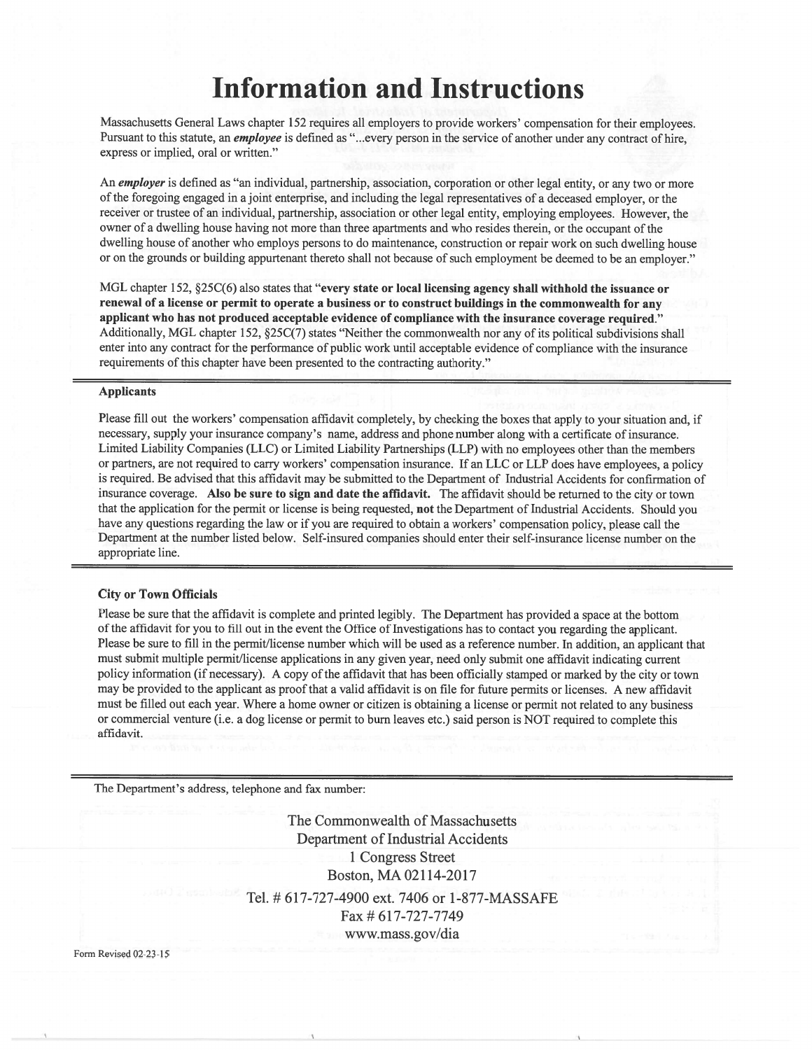# **Information and Instructions**

Massachusetts General Laws chapter 152 requires all employers to provide workers' compensation for their employees. Pursuant to this statute, an *employee* is defined as "...every person in the service of another under any contract of hire, express or implied, oral or written."

An employer is defined as "an individual, partnership, association, corporation or other legal entity, or any two or more of the foregoing engaged in a joint enterprise, and including the legal representatives of a deceased employer, or the receiver or trustee of an individual, partnership, association or other legal entity, employing employees. However, the owner of a dwelling house having not more than three apartments and who resides therein, or the occupant of the dwelling house of another who employs persons to do maintenance, construction or repair work on such dwelling house or on the grounds or building appurtenant thereto shall not because of such employment be deemed to be an employer."

MGL chapter 152, §25C(6) also states that "every state or local licensing agency shall withhold the issuance or renewal of a license or permit to operate a business or to construct buildings in the commonwealth for any applicant who has not produced acceptable evidence of compliance with the insurance coverage required." Additionally, MGL chapter 152, §25C(7) states "Neither the commonwealth nor any of its political subdivisions shall enter into any contract for the performance of public work until acceptable evidence of compliance with the insurance requirements of this chapter have been presented to the contracting authority."

#### **Applicants**

Please fill out the workers' compensation affidavit completely, by checking the boxes that apply to your situation and, if necessary, supply your insurance company's name, address and phone number along with a certificate of insurance. Limited Liability Companies (LLC) or Limited Liability Partnerships (LLP) with no employees other than the members or partners, are not required to carry workers' compensation insurance. If an LLC or LLP does have employees, a policy is required. Be advised that this affidavit may be submitted to the Department of Industrial Accidents for confirmation of insurance coverage. Also be sure to sign and date the affidavit. The affidavit should be returned to the city or town that the application for the permit or license is being requested, not the Department of Industrial Accidents. Should you have any questions regarding the law or if you are required to obtain a workers' compensation policy, please call the Department at the number listed below. Self-insured companies should enter their self-insurance license number on the appropriate line.

#### **City or Town Officials**

Please be sure that the affidavit is complete and printed legibly. The Department has provided a space at the bottom of the affidavit for you to fill out in the event the Office of Investigations has to contact you regarding the applicant. Please be sure to fill in the permit/license number which will be used as a reference number. In addition, an applicant that must submit multiple permit/license applications in any given year, need only submit one affidavit indicating current policy information (if necessary). A copy of the affidavit that has been officially stamped or marked by the city or town may be provided to the applicant as proof that a valid affidavit is on file for future permits or licenses. A new affidavit must be filled out each year. Where a home owner or citizen is obtaining a license or permit not related to any business or commercial venture (i.e. a dog license or permit to burn leaves etc.) said person is NOT required to complete this affidavit.

The Department's address, telephone and fax number:

The Commonwealth of Massachusetts **Department of Industrial Accidents** 1 Congress Street Boston, MA 02114-2017 Tel. # 617-727-4900 ext. 7406 or 1-877-MASSAFE Fax # 617-727-7749 www.mass.gov/dia

Form Revised 02-23-15